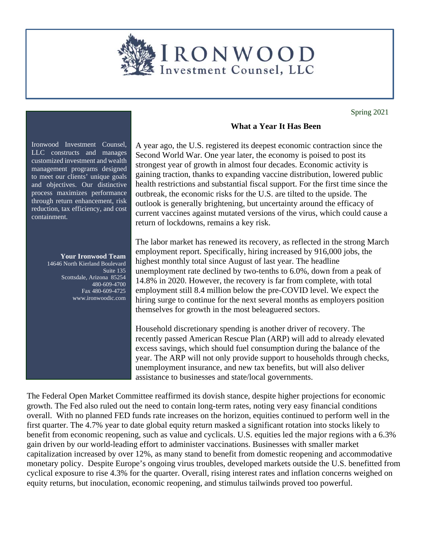

Spring 2021

Ironwood Investment Counsel, LLC constructs and manages customized investment and wealth management programs designed to meet our clients' unique goals and objectives. Our distinctive process maximizes performance through return enhancement, risk reduction, tax efficiency, and cost containment.

## **Your Ironwood Team**

14646 North Kierland Boulevard Suite 135 Scottsdale, Arizona 85254 480-609-4700 Fax 480-609-4725 www.ironwoodic.com

## **What a Year It Has Been**

A year ago, the U.S. registered its deepest economic contraction since the Second World War. One year later, the economy is poised to post its strongest year of growth in almost four decades. Economic activity is gaining traction, thanks to expanding vaccine distribution, lowered public health restrictions and substantial fiscal support. For the first time since the outbreak, the economic risks for the U.S. are tilted to the upside. The outlook is generally brightening, but uncertainty around the efficacy of current vaccines against mutated versions of the virus, which could cause a return of lockdowns, remains a key risk.

The labor market has renewed its recovery, as reflected in the strong March employment report. Specifically, hiring increased by 916,000 jobs, the highest monthly total since August of last year. The headline unemployment rate declined by two-tenths to 6.0%, down from a peak of 14.8% in 2020. However, the recovery is far from complete, with total employment still 8.4 million below the pre-COVID level. We expect the hiring surge to continue for the next several months as employers position themselves for growth in the most beleaguered sectors.

Household discretionary spending is another driver of recovery. The recently passed American Rescue Plan (ARP) will add to already elevated excess savings, which should fuel consumption during the balance of the year. The ARP will not only provide support to households through checks, unemployment insurance, and new tax benefits, but will also deliver assistance to businesses and state/local governments.

The Federal Open Market Committee reaffirmed its dovish stance, despite higher projections for economic growth. The Fed also ruled out the need to contain long-term rates, noting very easy financial conditions overall. With no planned FED funds rate increases on the horizon, equities continued to perform well in the first quarter. The 4.7% year to date global equity return masked a significant rotation into stocks likely to benefit from economic reopening, such as value and cyclicals. U.S. equities led the major regions with a 6.3% gain driven by our world-leading effort to administer vaccinations. Businesses with smaller market capitalization increased by over 12%, as many stand to benefit from domestic reopening and accommodative monetary policy. Despite Europe's ongoing virus troubles, developed markets outside the U.S. benefitted from cyclical exposure to rise 4.3% for the quarter. Overall, rising interest rates and inflation concerns weighed on equity returns, but inoculation, economic reopening, and stimulus tailwinds proved too powerful.